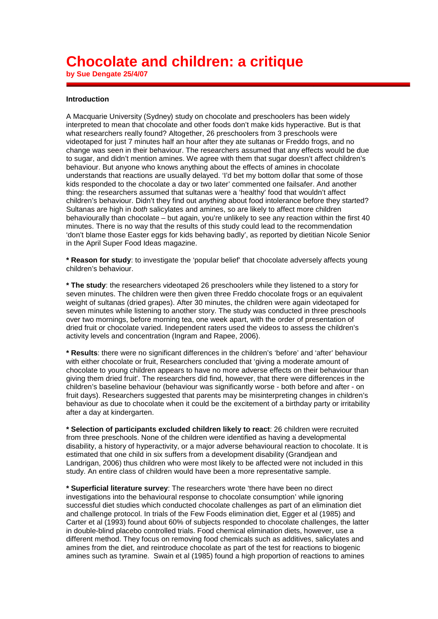## **Chocolate and children: a critique**

**by Sue Dengate 25/4/07**

## **Introduction**

A Macquarie University (Sydney) study on chocolate and preschoolers has been widely interpreted to mean that chocolate and other foods don't make kids hyperactive. But is that what researchers really found? Altogether, 26 preschoolers from 3 preschools were videotaped for just 7 minutes half an hour after they ate sultanas or Freddo frogs, and no change was seen in their behaviour. The researchers assumed that any effects would be due to sugar, and didn't mention amines. We agree with them that sugar doesn't affect children's behaviour. But anyone who knows anything about the effects of amines in chocolate understands that reactions are usually delayed. 'I'd bet my bottom dollar that some of those kids responded to the chocolate a day or two later' commented one failsafer. And another thing: the researchers assumed that sultanas were a 'healthy' food that wouldn't affect children's behaviour. Didn't they find out *anything* about food intolerance before they started? Sultanas are high in *both* salicylates and amines, so are likely to affect more children behaviourally than chocolate – but again, you're unlikely to see any reaction within the first 40 minutes. There is no way that the results of this study could lead to the recommendation 'don't blame those Easter eggs for kids behaving badly', as reported by dietitian Nicole Senior in the April Super Food Ideas magazine.

**\* Reason for study**: to investigate the 'popular belief' that chocolate adversely affects young children's behaviour.

**\* The study**: the researchers videotaped 26 preschoolers while they listened to a story for seven minutes. The children were then given three Freddo chocolate frogs or an equivalent weight of sultanas (dried grapes). After 30 minutes, the children were again videotaped for seven minutes while listening to another story. The study was conducted in three preschools over two mornings, before morning tea, one week apart, with the order of presentation of dried fruit or chocolate varied. Independent raters used the videos to assess the children's activity levels and concentration (Ingram and Rapee, 2006).

**\* Results**: there were no significant differences in the children's 'before' and 'after' behaviour with either chocolate or fruit, Researchers concluded that 'giving a moderate amount of chocolate to young children appears to have no more adverse effects on their behaviour than giving them dried fruit'. The researchers did find, however, that there were differences in the children's baseline behaviour (behaviour was significantly worse - both before and after - on fruit days). Researchers suggested that parents may be misinterpreting changes in children's behaviour as due to chocolate when it could be the excitement of a birthday party or irritability after a day at kindergarten.

**\* Selection of participants excluded children likely to react**: 26 children were recruited from three preschools. None of the children were identified as having a developmental disability, a history of hyperactivity, or a major adverse behavioural reaction to chocolate. It is estimated that one child in six suffers from a development disability (Grandjean and Landrigan, 2006) thus children who were most likely to be affected were not included in this study. An entire class of children would have been a more representative sample.

**\* Superficial literature survey**: The researchers wrote 'there have been no direct investigations into the behavioural response to chocolate consumption' while ignoring successful diet studies which conducted chocolate challenges as part of an elimination diet and challenge protocol. In trials of the Few Foods elimination diet, Egger et al (1985) and Carter et al (1993) found about 60% of subjects responded to chocolate challenges, the latter in double-blind placebo controlled trials. Food chemical elimination diets, however, use a different method. They focus on removing food chemicals such as additives, salicylates and amines from the diet, and reintroduce chocolate as part of the test for reactions to biogenic amines such as tyramine. Swain et al (1985) found a high proportion of reactions to amines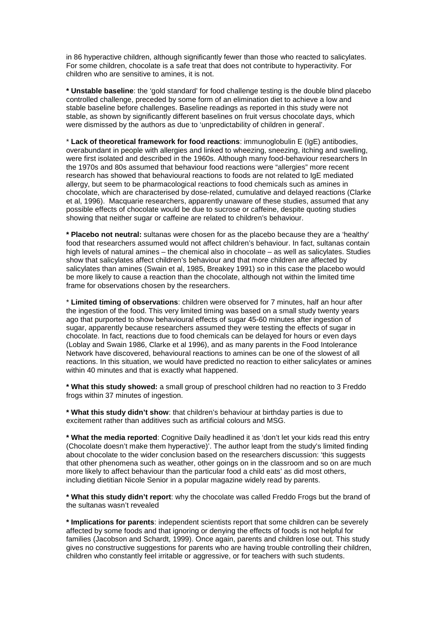in 86 hyperactive children, although significantly fewer than those who reacted to salicylates. For some children, chocolate is a safe treat that does not contribute to hyperactivity. For children who are sensitive to amines, it is not.

**\* Unstable baseline**: the 'gold standard' for food challenge testing is the double blind placebo controlled challenge, preceded by some form of an elimination diet to achieve a low and stable baseline before challenges. Baseline readings as reported in this study were not stable, as shown by significantly different baselines on fruit versus chocolate days, which were dismissed by the authors as due to 'unpredictability of children in general'.

\* **Lack of theoretical framework for food reactions**: immunoglobulin E (IgE) antibodies, overabundant in people with allergies and linked to wheezing, sneezing, itching and swelling, were first isolated and described in the 1960s. Although many food-behaviour researchers In the 1970s and 80s assumed that behaviour food reactions were "allergies" more recent research has showed that behavioural reactions to foods are not related to IgE mediated allergy, but seem to be pharmacological reactions to food chemicals such as amines in chocolate, which are characterised by dose-related, cumulative and delayed reactions (Clarke et al, 1996). Macquarie researchers, apparently unaware of these studies, assumed that any possible effects of chocolate would be due to sucrose or caffeine, despite quoting studies showing that neither sugar or caffeine are related to children's behaviour.

**\* Placebo not neutral:** sultanas were chosen for as the placebo because they are a 'healthy' food that researchers assumed would not affect children's behaviour. In fact, sultanas contain high levels of natural amines – the chemical also in chocolate – as well as salicylates. Studies show that salicylates affect children's behaviour and that more children are affected by salicylates than amines (Swain et al, 1985, Breakey 1991) so in this case the placebo would be more likely to cause a reaction than the chocolate, although not within the limited time frame for observations chosen by the researchers.

\* **Limited timing of observations**: children were observed for 7 minutes, half an hour after the ingestion of the food. This very limited timing was based on a small study twenty years ago that purported to show behavioural effects of sugar 45-60 minutes after ingestion of sugar, apparently because researchers assumed they were testing the effects of sugar in chocolate. In fact, reactions due to food chemicals can be delayed for hours or even days (Loblay and Swain 1986, Clarke et al 1996), and as many parents in the Food Intolerance Network have discovered, behavioural reactions to amines can be one of the slowest of all reactions. In this situation, we would have predicted no reaction to either salicylates or amines within 40 minutes and that is exactly what happened.

**\* What this study showed:** a small group of preschool children had no reaction to 3 Freddo frogs within 37 minutes of ingestion.

**\* What this study didn't show**: that children's behaviour at birthday parties is due to excitement rather than additives such as artificial colours and MSG.

**\* What the media reported**: Cognitive Daily headlined it as 'don't let your kids read this entry (Chocolate doesn't make them hyperactive)'. The author leapt from the study's limited finding about chocolate to the wider conclusion based on the researchers discussion: 'this suggests that other phenomena such as weather, other goings on in the classroom and so on are much more likely to affect behaviour than the particular food a child eats' as did most others, including dietitian Nicole Senior in a popular magazine widely read by parents.

**\* What this study didn't report**: why the chocolate was called Freddo Frogs but the brand of the sultanas wasn't revealed

**\* Implications for parents**: independent scientists report that some children can be severely affected by some foods and that ignoring or denying the effects of foods is not helpful for families (Jacobson and Schardt, 1999). Once again, parents and children lose out. This study gives no constructive suggestions for parents who are having trouble controlling their children, children who constantly feel irritable or aggressive, or for teachers with such students.